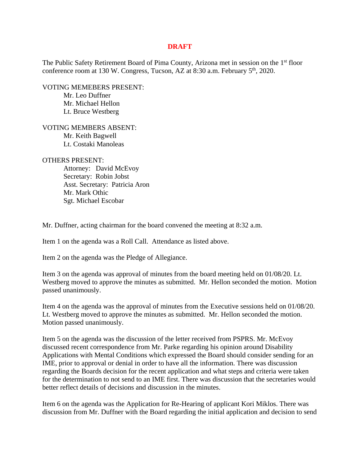## **DRAFT**

The Public Safety Retirement Board of Pima County, Arizona met in session on the 1st floor conference room at 130 W. Congress, Tucson, AZ at 8:30 a.m. February 5<sup>th</sup>, 2020.

VOTING MEMEBERS PRESENT: Mr. Leo Duffner Mr. Michael Hellon Lt. Bruce Westberg

VOTING MEMBERS ABSENT: Mr. Keith Bagwell Lt. Costaki Manoleas

OTHERS PRESENT:

 Attorney: David McEvoy Secretary: Robin Jobst Asst. Secretary: Patricia Aron Mr. Mark Othic Sgt. Michael Escobar

Mr. Duffner, acting chairman for the board convened the meeting at 8:32 a.m.

Item 1 on the agenda was a Roll Call. Attendance as listed above.

Item 2 on the agenda was the Pledge of Allegiance.

Item 3 on the agenda was approval of minutes from the board meeting held on 01/08/20. Lt. Westberg moved to approve the minutes as submitted. Mr. Hellon seconded the motion. Motion passed unanimously.

Item 4 on the agenda was the approval of minutes from the Executive sessions held on 01/08/20. Lt. Westberg moved to approve the minutes as submitted. Mr. Hellon seconded the motion. Motion passed unanimously.

Item 5 on the agenda was the discussion of the letter received from PSPRS. Mr. McEvoy discussed recent correspondence from Mr. Parke regarding his opinion around Disability Applications with Mental Conditions which expressed the Board should consider sending for an IME, prior to approval or denial in order to have all the information. There was discussion regarding the Boards decision for the recent application and what steps and criteria were taken for the determination to not send to an IME first. There was discussion that the secretaries would better reflect details of decisions and discussion in the minutes.

Item 6 on the agenda was the Application for Re-Hearing of applicant Kori Miklos. There was discussion from Mr. Duffner with the Board regarding the initial application and decision to send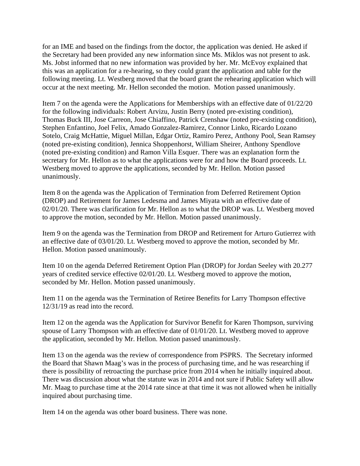for an IME and based on the findings from the doctor, the application was denied. He asked if the Secretary had been provided any new information since Ms. Miklos was not present to ask. Ms. Jobst informed that no new information was provided by her. Mr. McEvoy explained that this was an application for a re-hearing, so they could grant the application and table for the following meeting. Lt. Westberg moved that the board grant the rehearing application which will occur at the next meeting. Mr. Hellon seconded the motion. Motion passed unanimously.

Item 7 on the agenda were the Applications for Memberships with an effective date of 01/22/20 for the following individuals: Robert Arvizu, Justin Berry (noted pre-existing condition), Thomas Buck III, Jose Carreon, Jose Chiaffino, Patrick Crenshaw (noted pre-existing condition), Stephen Enfantino, Joel Felix, Amado Gonzalez-Ramirez, Connor Linko, Ricardo Lozano Sotelo, Craig McHattie, Miguel Millan, Edgar Ortiz, Ramiro Perez, Anthony Pool, Sean Ramsey (noted pre-existing condition), Jennica Shoppenhorst, William Sheirer, Anthony Spendlove (noted pre-existing condition) and Ramon Villa Esquer. There was an explanation form the secretary for Mr. Hellon as to what the applications were for and how the Board proceeds. Lt. Westberg moved to approve the applications, seconded by Mr. Hellon. Motion passed unanimously.

Item 8 on the agenda was the Application of Termination from Deferred Retirement Option (DROP) and Retirement for James Ledesma and James Miyata with an effective date of 02/01/20. There was clarification for Mr. Hellon as to what the DROP was. Lt. Westberg moved to approve the motion, seconded by Mr. Hellon. Motion passed unanimously.

Item 9 on the agenda was the Termination from DROP and Retirement for Arturo Gutierrez with an effective date of 03/01/20. Lt. Westberg moved to approve the motion, seconded by Mr. Hellon. Motion passed unanimously.

Item 10 on the agenda Deferred Retirement Option Plan (DROP) for Jordan Seeley with 20.277 years of credited service effective 02/01/20. Lt. Westberg moved to approve the motion, seconded by Mr. Hellon. Motion passed unanimously.

Item 11 on the agenda was the Termination of Retiree Benefits for Larry Thompson effective 12/31/19 as read into the record.

Item 12 on the agenda was the Application for Survivor Benefit for Karen Thompson, surviving spouse of Larry Thompson with an effective date of 01/01/20. Lt. Westberg moved to approve the application, seconded by Mr. Hellon. Motion passed unanimously.

Item 13 on the agenda was the review of correspondence from PSPRS. The Secretary informed the Board that Shawn Maag's was in the process of purchasing time, and he was researching if there is possibility of retroacting the purchase price from 2014 when he initially inquired about. There was discussion about what the statute was in 2014 and not sure if Public Safety will allow Mr. Maag to purchase time at the 2014 rate since at that time it was not allowed when he initially inquired about purchasing time.

Item 14 on the agenda was other board business. There was none.